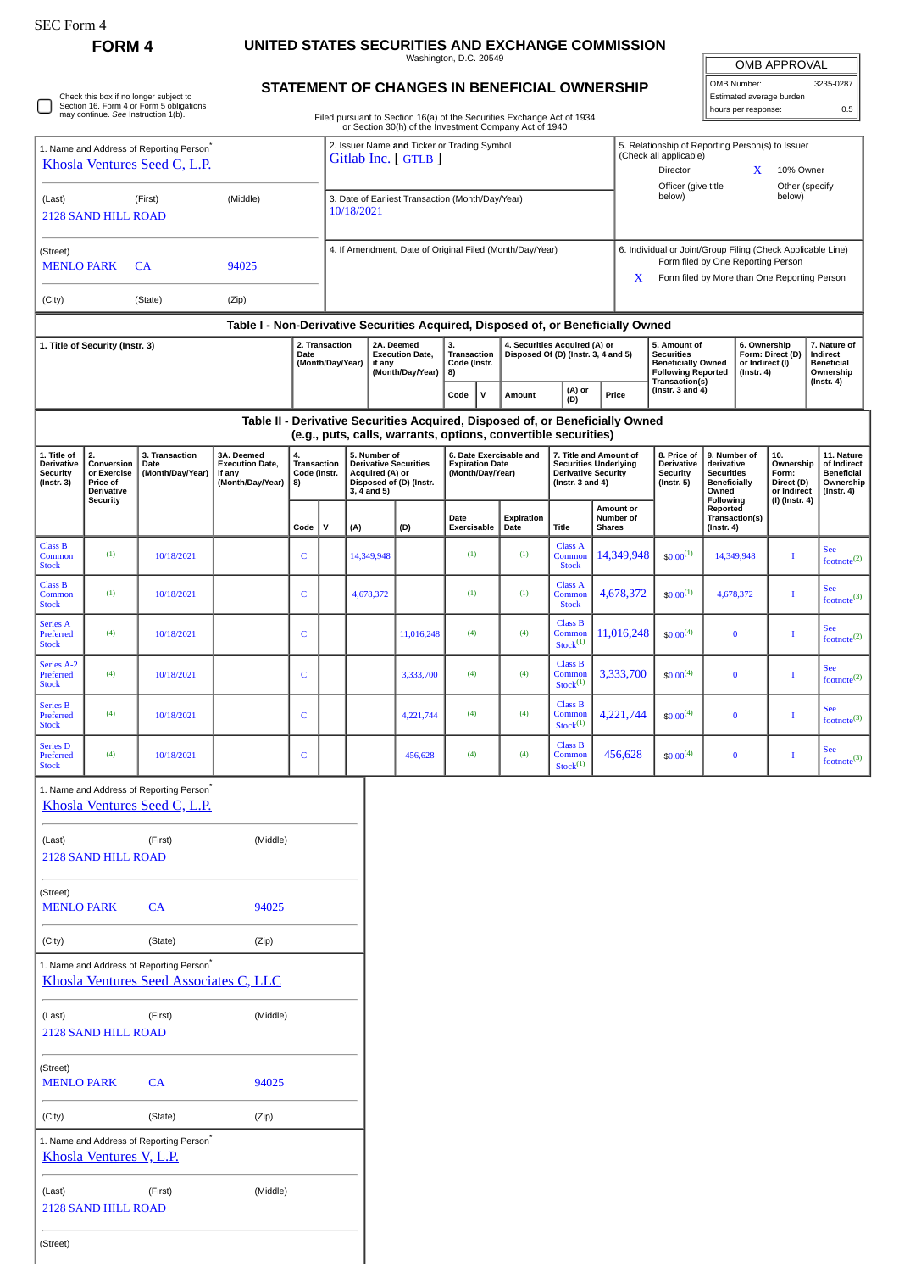## **FORM 4 UNITED STATES SECURITIES AND EXCHANGE COMMISSION**

Washington, D.C. 20549

| <b>OMB APPROVAL</b> |           |  |
|---------------------|-----------|--|
| OMB Number:         | 3235-0287 |  |

**7. Nature of Indirect Beneficial Ownership (Instr. 4)**

> **11. Nature of Indirect Beneficial Ownership (Instr. 4)**

See footnote $^{(2)}$ 

See<br>footnote<sup>(3)</sup>

See<br>footnote<sup>(2)</sup>

See footnote(2)

See footnote $^{(3)}$ 

See<br>footnote<sup>(3)</sup>

**STATEMENT OF CHANGES IN BENEFICIAL OWNERSHIP** Estimated average burden Check this box if no longer subject to Section 16. Form 4 or Form 5 obligations may continue. *See* Instruction 1(b). ⊓ hours per response: 0.5 Filed pursuant to Section 16(a) of the Securities Exchange Act of 1934 or Section 30(h) of the Investment Company Act of 1940 2. Issuer Name **and** Ticker or Trading Symbol 1. Name and Address of Reporting Person<sup>\*</sup> 5. Relationship of Reporting Person(s) to Issuer [Gitlab Inc.](http://www.sec.gov/cgi-bin/browse-edgar?action=getcompany&CIK=0001653482) [ GTLB ] (Check all applicable) [Khosla Ventures Seed C, L.P.](http://www.sec.gov/cgi-bin/browse-edgar?action=getcompany&CIK=0001627897) Director **X** 10% Owner Officer (give title Other (specify<br>helow) 3. Date of Earliest Transaction (Month/Day/Year) below) (Last) (First) (Middle) 10/18/2021 2128 SAND HILL ROAD 4. If Amendment, Date of Original Filed (Month/Day/Year) 6. Individual or Joint/Group Filing (Check Applicable Line) (Street) Form filed by One Reporting Person MENLO PARK CA 94025 X Form filed by More than One Reporting Person (City) (State) (Zip) **Table I - Non-Derivative Securities Acquired, Disposed of, or Beneficially Owned 1. Title of Security (Instr. 3) 2. Transaction 2A. Deemed 5. Amount of 6. Ownership 3. Transaction 4. Securities Acquired (A) or Disposed Of (D) (Instr. 3, 4 and 5) Date Execution Date, Securities Form: Direct (D) (Month/Day/Year) Code (Instr. Beneficially Owned or Indirect (I) if any (Month/Day/Year) 8) (Instr. 4) Following Reported Transaction(s) (Instr. 3 and 4)**  $\begin{bmatrix} \nabla \cdot \mathbf{C} & \nabla \cdot \mathbf{C} \\ \nabla \cdot \mathbf{C} & \nabla \cdot \mathbf{C} \nabla \cdot \mathbf{C} \nabla \cdot \mathbf{C} \nabla \cdot \mathbf{C} \nabla \cdot \mathbf{C} \nabla \cdot \mathbf{C} \nabla \cdot \mathbf{C} \nabla \cdot \mathbf{C} \nabla \cdot \mathbf{C} \nabla \cdot \mathbf{C} \nabla \cdot \mathbf{C} \nabla \cdot \mathbf{C} \nabla \cdot \mathbf{C} \nabla \cdot \mathbf{C} \nabla \cdot \$ **Table II - Derivative Securities Acquired, Disposed of, or Beneficially Owned (e.g., puts, calls, warrants, options, convertible securities) 1. Title of 3A. Deemed 5. Number of 6. Date Exercisable and 7. Title and Amount of 9. Number of 10. 3. Transaction 8. Price of 2. Conversion 4. Transaction Code (Instr. Securities Underlying Derivative Date Execution Date, Derivative Securities Derivative derivative Ownership Expiration Date (Month/Day/Year) Security or Exercise (Month/Day/Year) if any Derivative Security Securities Form: Acquired (A) or Disposed of (D) (Instr. Security (Instr. 5) Beneficially (Instr. 3) Price of (Month/Day/Year) 8) (Instr. 3 and 4) Direct (D) or Indirect Derivative 3, 4 and 5) Owned (I) (Instr. 4) Security Following Reported Amount or Number of Date Transaction(s) Expiration Date Title Code V (A) (D) Exercisable Shares (Instr. 4)** Class A Class B  $14,349,948$   $\bullet$   $0.00^{(1)}$   $14,349,948$  I Common (1)  $10/18/2021$  C 14,349,948 (1) (1) (1) Common **Stock** Stock Class B Class A  $4,678,372$   $\bullet$   $60.00^{(1)}$   $4,678,372$  I (1)  $10/18/2021$  C 4,678,372 (1) (1) (1) **Common** Com Stock Stock Class B Series A Preferred Com  $11,016,248$   $\left\lfloor \frac{60,00(4)}{2} \right\rfloor$  0 I (4)  $10/18/2021$  C 1  $11,016,248$  (4) (4) nsen<br>Stock  $Stock<sup>(1)</sup>$ Class B Series A-2 Preferred 3,333,700  $\Big| \cdot \frac{1}{100}(4) \Big|$  0 I (4)  $10/18/2021$  C C 3,333,700 (4) (4) Common<br>Stock<sup>(1)</sup> Stock Series B Class B Preferred Com  $4,221,744$   $\binom{1}{0.00^{(4)}}$  0 I (4)  $10/18/2021$  C C 4,221,744 (4) (4) Stock  $Stock<sup>(1)</sup>$ Series D Class B  $456,628$   $\begin{array}{|c|c|c|c|c|c|c|c|} \hline \text{ } & 0 & 1 \end{array}$  I Preferred (4)  $10/18/2021$  C C 456,628 (4) (4) Common<br>Stock<sup>(1)</sup> Stock 1. Name and Address of Reporting Person<sup>\*</sup> [Khosla Ventures Seed C, L.P.](http://www.sec.gov/cgi-bin/browse-edgar?action=getcompany&CIK=0001627897) (Last) (First) (Middle) 2128 SAND HILL ROAD (Street) MENLO PARK CA 94025 (City) (State) (Zip) 1. Name and Address of Reporting Person\* [Khosla Ventures Seed Associates C, LLC](http://www.sec.gov/cgi-bin/browse-edgar?action=getcompany&CIK=0001627898) (Last) (First) (Middle) 2128 SAND HILL ROAD (Street) MENLO PARK CA 94025 (City) (State) (Zip) 1. Name and Address of Reporting Person<sup>\*</sup> [Khosla Ventures V, L.P.](http://www.sec.gov/cgi-bin/browse-edgar?action=getcompany&CIK=0001611146) (Last) (First) (Middle) 2128 SAND HILL ROAD

(Street)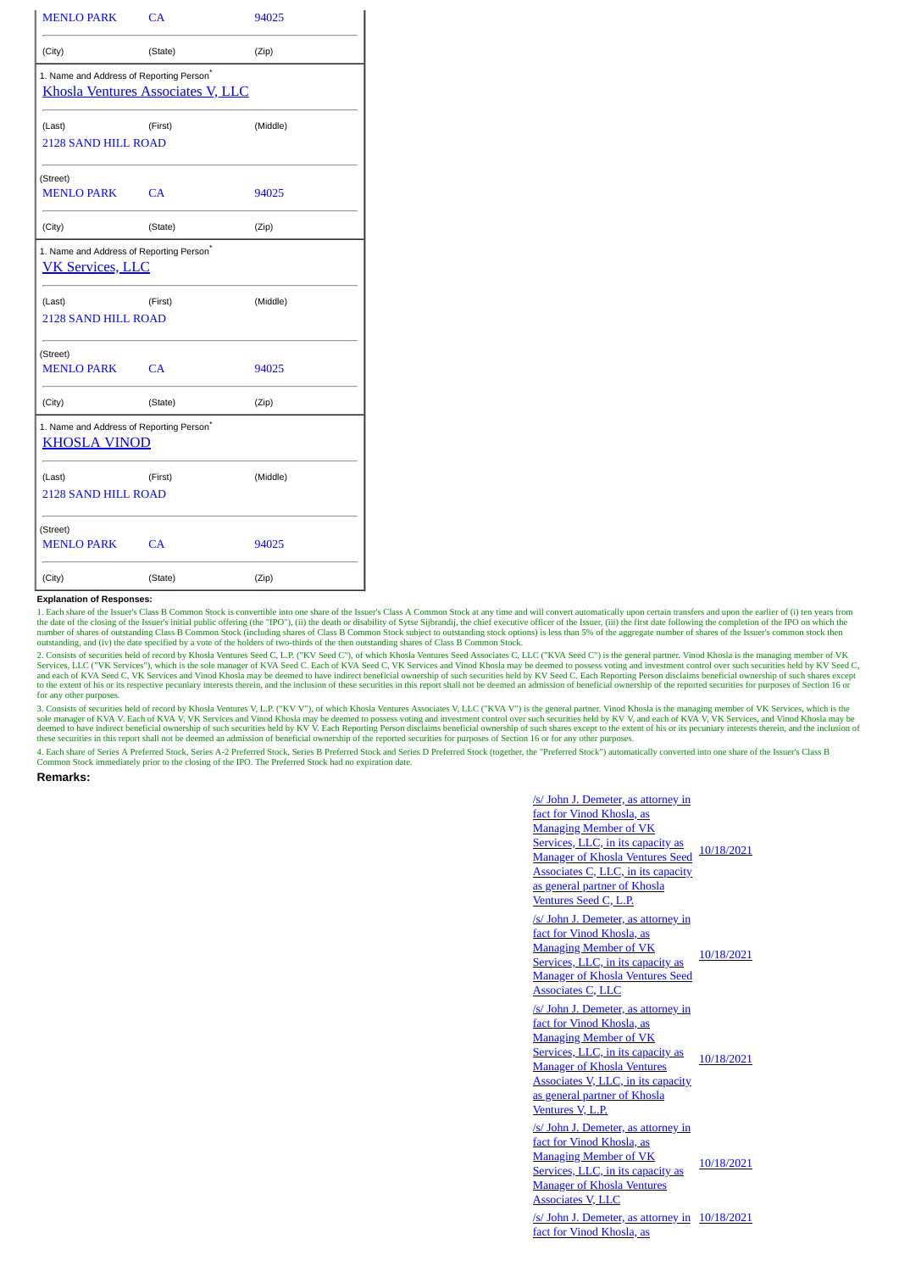| <b>MENLO PARK</b>                                                                                | CA      | 94025    |
|--------------------------------------------------------------------------------------------------|---------|----------|
| (City)                                                                                           | (State) | (Zip)    |
| 1. Name and Address of Reporting Person <sup>*</sup><br><b>Khosla Ventures Associates V, LLC</b> |         |          |
| (Last)<br><b>2128 SAND HILL ROAD</b>                                                             | (First) | (Middle) |
| (Street)<br>MENLO PARK CA                                                                        |         | 94025    |
| (City)                                                                                           | (State) | (Zip)    |
| 1. Name and Address of Reporting Person <sup>*</sup><br><b>VK Services, LLC</b>                  |         |          |
| (Last)<br>2128 SAND HILL ROAD                                                                    | (First) | (Middle) |
| (Street)<br>MENLO PARK CA                                                                        |         | 94025    |
| (City)                                                                                           | (State) | (Zip)    |
| 1. Name and Address of Reporting Person <sup>®</sup><br><b>KHOSLA VINOD</b>                      |         |          |
| (Last)<br><b>2128 SAND HILL ROAD</b>                                                             | (First) | (Middle) |
| (Street)<br><b>MENLO PARK</b>                                                                    | CA      | 94025    |
| (City)                                                                                           | (State) | (Zip)    |

## **Explanation of Responses:**

1. Each share of the Issuer's Class B Common Stock is convertible into one share of the Issuer's Class A Common Stock at any time and will convert automatically upon certain transfers and upon the earlier of (i) ten years outstanding, and (iv) the date specified by a vote of the holders of two-thirds of the then outstanding shares of Class B Common Stock.

2. Consists of securities held of record by Khosla Ventures Seed C, L.P. ("KV Seed C"), of which Khosla Ventures Seed Associates C, L.LC ("KVA Seed C") is the general partner. Vinod Khosla is the managing member of VK<br>Serv to the extent of his or its respective pecuniary interests therein, and the inclusion of these securities in this report shall not be deemed an admission of beneficial ownership of the reported securities for purposes of S for any other purposes.

3. Consists of securities held of record by Khosla Ventures V, L.P. ("KV V"), of which Khosla Ventures Associates V, LLC ("KVA V") is the general partner. Vinod Khosla is the managing member of VK Services, which is the so

4. Each share of Series A Preferred Stock, Series A-2 Preferred Stock, Series B Preferred Stock and Series D Preferred Stock (together, the "Preferred Stock") automatically converted into one share of the Issuer's Class B on Stock immediately prior to the closing of the IPO. The Preferred Stock had no expiration date

## **Remarks:**

/s/ John J. Demeter, as attorney in fact for Vinod Khosla, as Managing Member of VK Services, LLC, in its capacity as Manager of Khosla Ventures Seed 10/18/2021 Associates C, LLC, in its capacity as general partner of Khosla Ventures Seed C, L.P. /s/ John J. Demeter, as attorney in fact for Vinod Khosla, as Managing Member of VK Services, LLC, in its capacity as Manager of Khosla Ventures Seed Associates C, LLC 10/18/2021 /s/ John J. Demeter, as attorney in fact for Vinod Khosla, as Managing Member of VK Services, LLC, in its capacity as <br>Management Klassle Mentures 10/18/2021 Manager of Khosla Ventures Associates V, LLC, in its capacity as general partner of Khosla Ventures V, L.P. /s/ John J. Demeter, as attorney in fact for Vinod Khosla, as Managing Member of VK Services, LLC, in its capacity as Manager of Khosla Ventures Associates V, LLC 10/18/2021 /s/ John J. Demeter, as attorney in 10/18/2021fact for Vinod Khosla, as